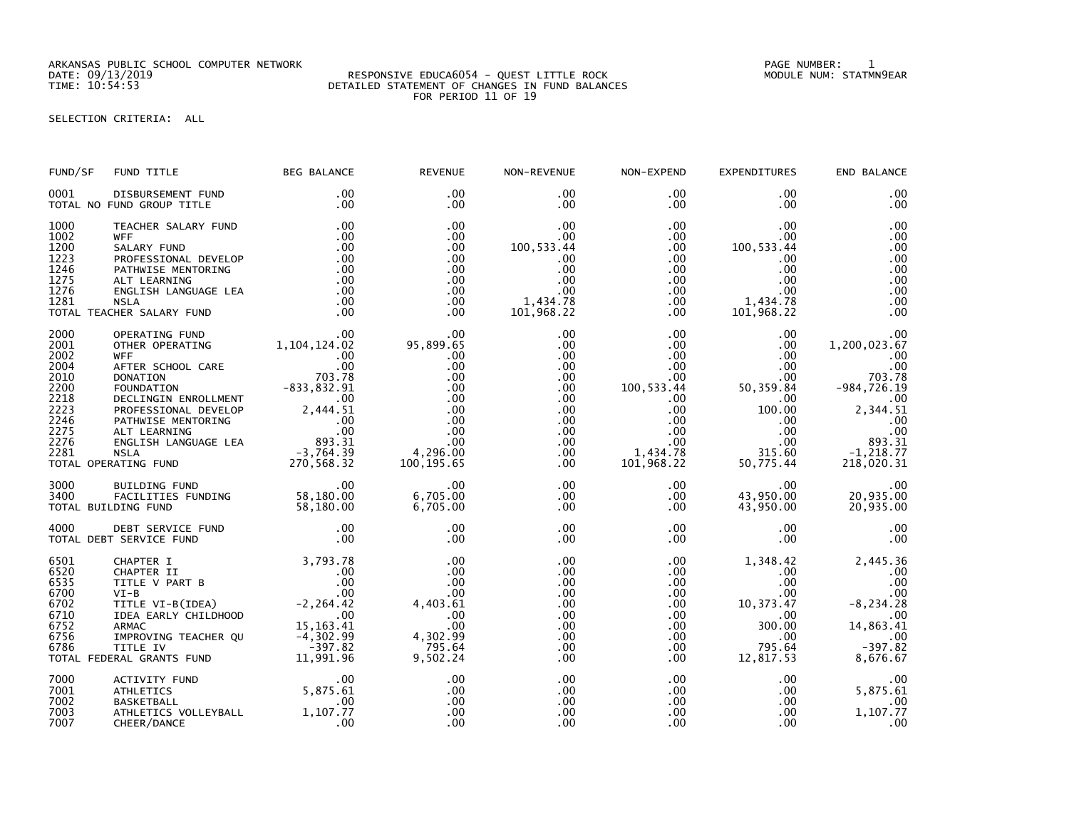ARKANSAS PUBLIC SCHOOL COMPUTER NETWORK PAGE NUMBER: 1

## DATE: 09/13/2019 RESPONSIVE EDUCA6054 - QUEST LITTLE ROCK MODULE NUM: STATMN9EAR TIME: 10:54:53 DETAILED STATEMENT OF CHANGES IN FUND BALANCES FOR PERIOD 11 OF 19

SELECTION CRITERIA: ALL

| FUND/SF                                                                                      | FUND TITLE                                                                                                                                                                                                                                                                                                                              | <b>BEG BALANCE</b>                                          | <b>REVENUE</b>                                                                                                         | NON-REVENUE                                                                                                           | NON-EXPEND                                                                                                                                       | <b>EXPENDITURES</b>                                                                                                                                 | END BALANCE                                                                                                                                       |
|----------------------------------------------------------------------------------------------|-----------------------------------------------------------------------------------------------------------------------------------------------------------------------------------------------------------------------------------------------------------------------------------------------------------------------------------------|-------------------------------------------------------------|------------------------------------------------------------------------------------------------------------------------|-----------------------------------------------------------------------------------------------------------------------|--------------------------------------------------------------------------------------------------------------------------------------------------|-----------------------------------------------------------------------------------------------------------------------------------------------------|---------------------------------------------------------------------------------------------------------------------------------------------------|
| 0001                                                                                         | DISBURSEMENT FUND<br>TOTAL NO FUND GROUP TITLE                                                                                                                                                                                                                                                                                          | $.00 \,$<br>.00                                             | $.00 \times$<br>$.00 \,$                                                                                               | $.00 \,$<br>$.00 \,$                                                                                                  | $.00 \,$<br>$.00 \,$                                                                                                                             | $.00 \,$<br>.00.                                                                                                                                    | .00<br>.00                                                                                                                                        |
| 1000<br>1002<br>1200<br>1223<br>1246<br>1275<br>1276<br>1281                                 | TEACHER SALARY FUND<br><b>WFF</b><br>SALARY FUND<br>PROFESSIONAL DEVELOP<br>PATHWISE MENTORING<br>ALT LEARNING<br>ENGLISH LANGUAGE LEA<br><b>NSLA</b><br>TOTAL TEACHER SALARY FUND                                                                                                                                                      | .00<br>.00<br>.00<br>.00<br>.00<br>.00<br>.00<br>.00<br>.00 | .00<br>.00<br>.00<br>.00<br>.00<br>.00<br>.00<br>.00<br>.00                                                            | .00<br>$.00 \,$<br>100, 533.44<br>.00<br>.00<br>.00<br>.00<br>1,434.78<br>101,968.22                                  | $.00 \,$<br>$.00 \,$<br>$.00 \,$<br>$.00 \,$<br>$.00 \,$<br>$.00\,$<br>$.00\,$<br>$.00 \,$<br>.00                                                | .00.<br>.00<br>100, 533.44<br>.00<br>.00<br>.00<br>.00<br>00.<br>1,434.78<br>101.968.20<br>101,968.22                                               | .00<br>.00<br>.00<br>.00<br>.00<br>.00<br>.00<br>.00<br>.00                                                                                       |
| 2000<br>2001<br>2002<br>2004<br>2010<br>2200<br>2218<br>2223<br>2246<br>2275<br>2276<br>2281 | OPERATING FUND .00<br>OTHER OPERATING 1,104,124.02<br>WEF<br>OTHER OPERATING 1,104,124.02<br>WFF<br>AFTER SCHOOL CARE<br>DONATION 703.78<br>FOUNDATION 703.78<br>FOUNDATION 703.78<br>FOUNDATION 703.78<br>PROFESSIONAL DEVELOP 2,444.51<br>PROFESSIONAL DEVELOP 2,444.51<br>ALT LEARNING .00<br>ALT LEARNING .<br>TOTAL OPERATING FUND |                                                             | .00<br>00 .<br>95 , 899 . 65<br>.00<br>.00<br>.00<br>.00<br>.00<br>.00<br>.00<br>.00<br>.00<br>4,296.00<br>100, 195.65 | .00<br>.00<br>$.00 \,$<br>$.00 \,$<br>$.00 \,$<br>.00<br>$.00 \,$<br>.00<br>$.00 \,$<br>$.00 \,$<br>.00<br>.00<br>.00 | $.00 \,$<br>.00<br>$.00 \,$<br>.00<br>$.00 \,$<br>100,533.44<br>$.00 \,$<br>$.00 \,$<br>$.00\,$<br>$.00\,$<br>$.00 \,$<br>1,434.78<br>101,968.22 | $.00 \,$<br>.00 <sub>1</sub><br>$.00 \,$<br>.00<br>$.00 \,$<br>50,359.84<br>$.00\,$<br>100.00<br>.00<br>$.00 \,$<br>$.00 \,$<br>315.60<br>50,775.44 | .00<br>1,200,023.67<br>.00<br>.00<br>703.78<br>$-984, 726.19$<br>.00<br>2,344.51<br>.00<br>.00<br>893.31<br>$-1, \overline{218}.77$<br>218,020.31 |
| 3000<br>3400                                                                                 | BUILDING FUND<br>FACILITIES FUNDING 58,180.00<br>DING FUND 58,180.00<br>TOTAL BUILDING FUND                                                                                                                                                                                                                                             | .00                                                         | .00<br>6,705.00<br>6,705.00                                                                                            | $.00 \,$<br>$.00 \,$<br>.00                                                                                           | $.00 \,$<br>.00<br>$.00 \,$                                                                                                                      | $.00 \,$<br>43,950.00<br>43,950.00                                                                                                                  | 20,935.00<br>20,935.00                                                                                                                            |
| 4000                                                                                         | DEBT SERVICE FUND<br>TOTAL DEBT SERVICE FUND                                                                                                                                                                                                                                                                                            | $\frac{0}{00}$                                              | .00<br>.00                                                                                                             | .00<br>.00                                                                                                            | $.00 \,$<br>$.00 \,$                                                                                                                             | $.00 \,$<br>.00                                                                                                                                     | .00<br>.00                                                                                                                                        |
|                                                                                              | 3,793.78<br>6520 CHAPTER I 3,793.78<br>6520 CHAPTER II .00<br>6700 VI-B .00<br>6700 VI-B .00<br>6702 TITLE VI-B(IDEA) -2,264.42<br>6710 IDEA EARLY CHILDHOOD -2,264.42<br>6752 ARMAC .00<br>6752 ARMAC 15,163.41<br>6756 IMPROVING TEACHER QU -4                                                                                        |                                                             | .00<br>.00<br>.00<br>.00<br>4,403.61<br>$\frac{1}{2}$ .00<br>.00<br>4, 302.99<br>795.64<br>9,502.24                    | .00<br>.00<br>.00<br>.00<br>.00<br>.00<br>.00<br>.00<br>$.00 \,$<br>.00                                               | $.00 \,$<br>$.00 \,$<br>$.00\,$<br>$.00 \,$<br>$.00 \,$<br>$.00 \,$<br>$.00 \,$<br>$.00 \,$<br>$.00 \,$<br>$.00 \,$                              | 1,348.42<br>$.00 \,$<br>$.00 \,$<br>$.00 \,$<br>10,373.47<br>$.00 \,$<br>300.00<br>.00<br>795.64<br>12,817.53                                       | 2,445.36<br>.00<br>.00<br>.00<br>$-8, 234.28$<br>.00<br>14,863.41<br>.00<br>$-397.82$<br>8,676.67                                                 |
| 7000<br>7001<br>7002<br>7003<br>7007                                                         | ACTIVITY FUND<br><b>ATHLETICS</b><br><b>BASKETBALL</b><br>ATHLETICS VOLLEYBALL<br>CHEER/DANCE                                                                                                                                                                                                                                           | .00<br>$\frac{00}{5,875.61}$<br>.00<br>1, 107.77<br>.00     | .00<br>.00<br>.00<br>.00<br>.00                                                                                        | .00<br>.00<br>.00<br>.00<br>.00                                                                                       | .00<br>$.00 \,$<br>$.00 \,$<br>$.00 \,$<br>.00                                                                                                   | $.00 \,$<br>$.00 \,$<br>$.00 \,$<br>.00<br>.00.                                                                                                     | 00.<br>5,875.61<br>.00<br>1,107.77<br>.00                                                                                                         |